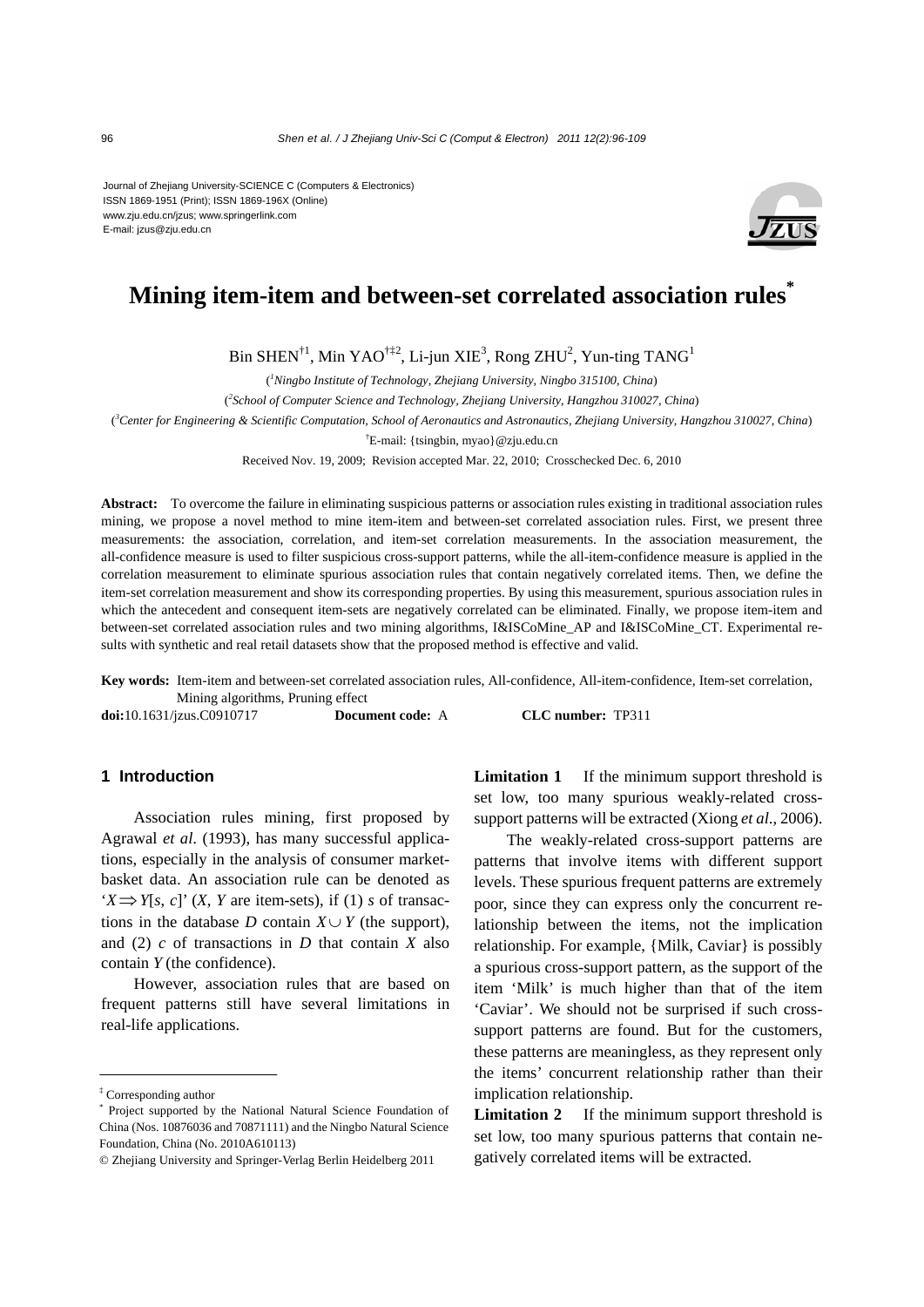Journal of Zhejiang University-SCIENCE C (Computers & Electronics) ISSN 1869-1951 (Print); ISSN 1869-196X (Online) www.zju.edu.cn/jzus; www.springerlink.com E-mail: jzus@zju.edu.cn



# **Mining item-item and between-set correlated association rules\***

Bin SHEN $^{\dagger1}$ , Min YAO $^{\dagger12}$ , Li-jun XIE $^3$ , Rong ZHU $^2$ , Yun-ting TANG $^1$ 

( *1 Ningbo Institute of Technology, Zhejiang University, Ningbo 315100, China*)

( *2 School of Computer Science and Technology, Zhejiang University, Hangzhou 310027, China*)

( *3 Center for Engineering & Scientific Computation, School of Aeronautics and Astronautics, Zhejiang University, Hangzhou 310027, China*)

† E-mail: {tsingbin, myao}@zju.edu.cn

Received Nov. 19, 2009; Revision accepted Mar. 22, 2010; Crosschecked Dec. 6, 2010

**Abstract:** To overcome the failure in eliminating suspicious patterns or association rules existing in traditional association rules mining, we propose a novel method to mine item-item and between-set correlated association rules. First, we present three measurements: the association, correlation, and item-set correlation measurements. In the association measurement, the all-confidence measure is used to filter suspicious cross-support patterns, while the all-item-confidence measure is applied in the correlation measurement to eliminate spurious association rules that contain negatively correlated items. Then, we define the item-set correlation measurement and show its corresponding properties. By using this measurement, spurious association rules in which the antecedent and consequent item-sets are negatively correlated can be eliminated. Finally, we propose item-item and between-set correlated association rules and two mining algorithms, I&ISCoMine\_AP and I&ISCoMine\_CT. Experimental results with synthetic and real retail datasets show that the proposed method is effective and valid.

**Key words:** Item-item and between-set correlated association rules, All-confidence, All-item-confidence, Item-set correlation, Mining algorithms, Pruning effect

**doi:**10.1631/jzus.C0910717 **Document code:** A **CLC number:** TP311

## **1 Introduction**

Association rules mining, first proposed by Agrawal *et al*. (1993), has many successful applications, especially in the analysis of consumer marketbasket data. An association rule can be denoted as  $'X \implies Y[s, c]'$  (*X*, *Y* are item-sets), if (1) *s* of transactions in the database *D* contain  $X \cup Y$  (the support), and (2) *c* of transactions in *D* that contain *X* also contain *Y* (the confidence).

However, association rules that are based on frequent patterns still have several limitations in real-life applications.

**Limitation 1** If the minimum support threshold is set low, too many spurious weakly-related crosssupport patterns will be extracted (Xiong *et al*., 2006).

The weakly-related cross-support patterns are patterns that involve items with different support levels. These spurious frequent patterns are extremely poor, since they can express only the concurrent relationship between the items, not the implication relationship. For example, {Milk, Caviar} is possibly a spurious cross-support pattern, as the support of the item 'Milk' is much higher than that of the item 'Caviar'. We should not be surprised if such crosssupport patterns are found. But for the customers, these patterns are meaningless, as they represent only the items' concurrent relationship rather than their implication relationship.

**Limitation 2** If the minimum support threshold is set low, too many spurious patterns that contain negatively correlated items will be extracted.

<sup>‡</sup> Corresponding author

<sup>\*</sup> Project supported by the National Natural Science Foundation of China (Nos. 10876036 and 70871111) and the Ningbo Natural Science Foundation, China (No. 2010A610113)

<sup>©</sup> Zhejiang University and Springer-Verlag Berlin Heidelberg 2011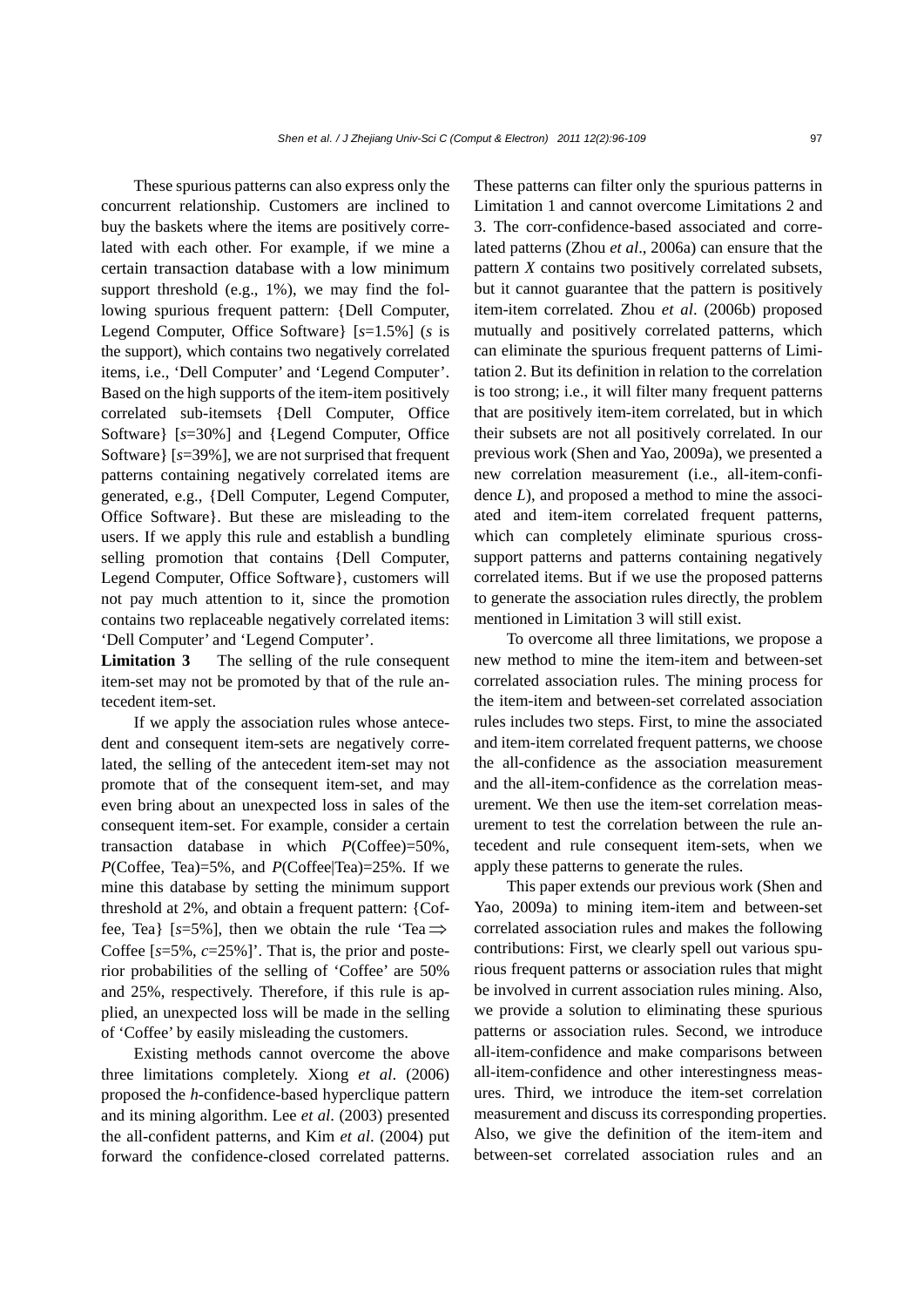These spurious patterns can also express only the concurrent relationship. Customers are inclined to buy the baskets where the items are positively correlated with each other. For example, if we mine a certain transaction database with a low minimum support threshold (e.g., 1%), we may find the following spurious frequent pattern: {Dell Computer, Legend Computer, Office Software} [*s*=1.5%] (*s* is the support), which contains two negatively correlated items, i.e., 'Dell Computer' and 'Legend Computer'. Based on the high supports of the item-item positively correlated sub-itemsets {Dell Computer, Office Software} [*s*=30%] and {Legend Computer, Office Software} [*s*=39%], we are not surprised that frequent patterns containing negatively correlated items are generated, e.g., {Dell Computer, Legend Computer, Office Software}. But these are misleading to the users. If we apply this rule and establish a bundling selling promotion that contains {Dell Computer, Legend Computer, Office Software}, customers will not pay much attention to it, since the promotion contains two replaceable negatively correlated items: 'Dell Computer' and 'Legend Computer'.

**Limitation 3** The selling of the rule consequent item-set may not be promoted by that of the rule antecedent item-set.

If we apply the association rules whose antecedent and consequent item-sets are negatively correlated, the selling of the antecedent item-set may not promote that of the consequent item-set, and may even bring about an unexpected loss in sales of the consequent item-set. For example, consider a certain transaction database in which *P*(Coffee)=50%, *P*(Coffee, Tea)=5%, and *P*(Coffee|Tea)=25%. If we mine this database by setting the minimum support threshold at 2%, and obtain a frequent pattern: {Coffee, Tea} [ $s=5\%$ ], then we obtain the rule 'Tea $\Rightarrow$ Coffee  $[s=5\%, c=25\%]$ . That is, the prior and posterior probabilities of the selling of 'Coffee' are 50% and 25%, respectively. Therefore, if this rule is applied, an unexpected loss will be made in the selling of 'Coffee' by easily misleading the customers.

Existing methods cannot overcome the above three limitations completely. Xiong *et al*. (2006) proposed the *h*-confidence-based hyperclique pattern and its mining algorithm. Lee *et al*. (2003) presented the all-confident patterns, and Kim *et al*. (2004) put forward the confidence-closed correlated patterns.

These patterns can filter only the spurious patterns in Limitation 1 and cannot overcome Limitations 2 and 3. The corr-confidence-based associated and correlated patterns (Zhou *et al*., 2006a) can ensure that the pattern *X* contains two positively correlated subsets, but it cannot guarantee that the pattern is positively item-item correlated. Zhou *et al*. (2006b) proposed mutually and positively correlated patterns, which can eliminate the spurious frequent patterns of Limitation 2. But its definition in relation to the correlation is too strong; i.e., it will filter many frequent patterns that are positively item-item correlated, but in which their subsets are not all positively correlated. In our previous work (Shen and Yao, 2009a), we presented a new correlation measurement (i.e., all-item-confidence *L*), and proposed a method to mine the associated and item-item correlated frequent patterns, which can completely eliminate spurious crosssupport patterns and patterns containing negatively correlated items. But if we use the proposed patterns to generate the association rules directly, the problem mentioned in Limitation 3 will still exist.

To overcome all three limitations, we propose a new method to mine the item-item and between-set correlated association rules. The mining process for the item-item and between-set correlated association rules includes two steps. First, to mine the associated and item-item correlated frequent patterns, we choose the all-confidence as the association measurement and the all-item-confidence as the correlation measurement. We then use the item-set correlation measurement to test the correlation between the rule antecedent and rule consequent item-sets, when we apply these patterns to generate the rules.

This paper extends our previous work (Shen and Yao, 2009a) to mining item-item and between-set correlated association rules and makes the following contributions: First, we clearly spell out various spurious frequent patterns or association rules that might be involved in current association rules mining. Also, we provide a solution to eliminating these spurious patterns or association rules. Second, we introduce all-item-confidence and make comparisons between all-item-confidence and other interestingness measures. Third, we introduce the item-set correlation measurement and discuss its corresponding properties. Also, we give the definition of the item-item and between-set correlated association rules and an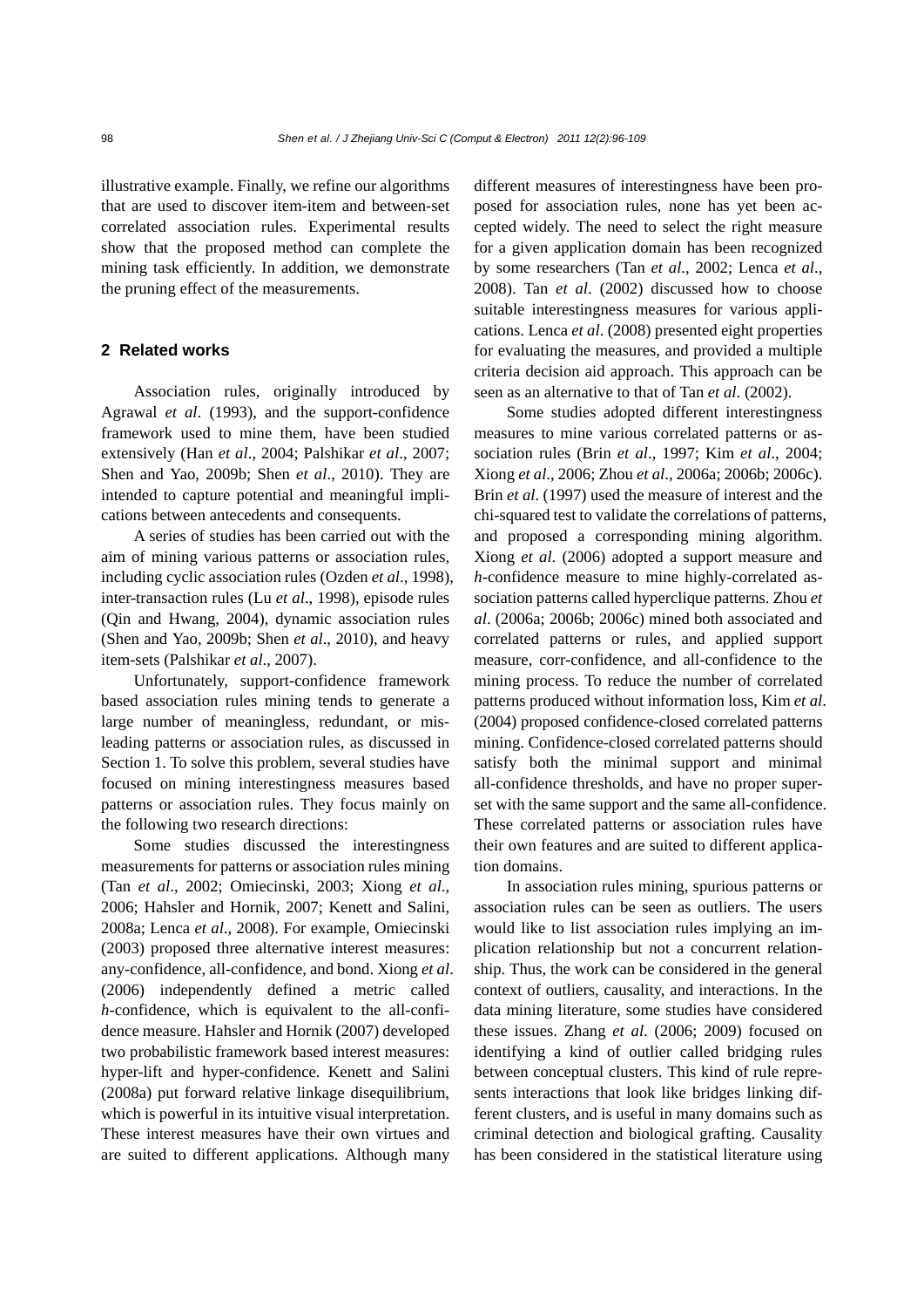illustrative example. Finally, we refine our algorithms that are used to discover item-item and between-set correlated association rules. Experimental results show that the proposed method can complete the mining task efficiently. In addition, we demonstrate the pruning effect of the measurements.

## **2 Related works**

Association rules, originally introduced by Agrawal *et al*. (1993), and the support-confidence framework used to mine them, have been studied extensively (Han *et al*., 2004; Palshikar *et al*., 2007; Shen and Yao, 2009b; Shen *et al*., 2010). They are intended to capture potential and meaningful implications between antecedents and consequents.

A series of studies has been carried out with the aim of mining various patterns or association rules, including cyclic association rules (Ozden *et al*., 1998), inter-transaction rules (Lu *et al*., 1998), episode rules (Qin and Hwang, 2004), dynamic association rules (Shen and Yao, 2009b; Shen *et al*., 2010), and heavy item-sets (Palshikar *et al*., 2007).

Unfortunately, support-confidence framework based association rules mining tends to generate a large number of meaningless, redundant, or misleading patterns or association rules, as discussed in Section 1. To solve this problem, several studies have focused on mining interestingness measures based patterns or association rules. They focus mainly on the following two research directions:

Some studies discussed the interestingness measurements for patterns or association rules mining (Tan *et al*., 2002; Omiecinski, 2003; Xiong *et al*., 2006; Hahsler and Hornik, 2007; Kenett and Salini, 2008a; Lenca *et al*., 2008). For example, Omiecinski (2003) proposed three alternative interest measures: any-confidence, all-confidence, and bond. Xiong *et al*. (2006) independently defined a metric called *h*-confidence, which is equivalent to the all-confidence measure. Hahsler and Hornik (2007) developed two probabilistic framework based interest measures: hyper-lift and hyper-confidence. Kenett and Salini (2008a) put forward relative linkage disequilibrium, which is powerful in its intuitive visual interpretation. These interest measures have their own virtues and are suited to different applications. Although many

different measures of interestingness have been proposed for association rules, none has yet been accepted widely. The need to select the right measure for a given application domain has been recognized by some researchers (Tan *et al*., 2002; Lenca *et al*., 2008). Tan *et al*. (2002) discussed how to choose suitable interestingness measures for various applications. Lenca *et al*. (2008) presented eight properties for evaluating the measures, and provided a multiple criteria decision aid approach. This approach can be seen as an alternative to that of Tan *et al*. (2002).

Some studies adopted different interestingness measures to mine various correlated patterns or association rules (Brin *et al*., 1997; Kim *et al*., 2004; Xiong *et al*., 2006; Zhou *et al*., 2006a; 2006b; 2006c). Brin *et al*. (1997) used the measure of interest and the chi-squared test to validate the correlations of patterns, and proposed a corresponding mining algorithm. Xiong *et al*. (2006) adopted a support measure and *h*-confidence measure to mine highly-correlated association patterns called hyperclique patterns. Zhou *et al*. (2006a; 2006b; 2006c) mined both associated and correlated patterns or rules, and applied support measure, corr-confidence, and all-confidence to the mining process. To reduce the number of correlated patterns produced without information loss, Kim *et al*. (2004) proposed confidence-closed correlated patterns mining. Confidence-closed correlated patterns should satisfy both the minimal support and minimal all-confidence thresholds, and have no proper superset with the same support and the same all-confidence. These correlated patterns or association rules have their own features and are suited to different application domains.

In association rules mining, spurious patterns or association rules can be seen as outliers. The users would like to list association rules implying an implication relationship but not a concurrent relationship. Thus, the work can be considered in the general context of outliers, causality, and interactions. In the data mining literature, some studies have considered these issues. Zhang *et al*. (2006; 2009) focused on identifying a kind of outlier called bridging rules between conceptual clusters. This kind of rule represents interactions that look like bridges linking different clusters, and is useful in many domains such as criminal detection and biological grafting. Causality has been considered in the statistical literature using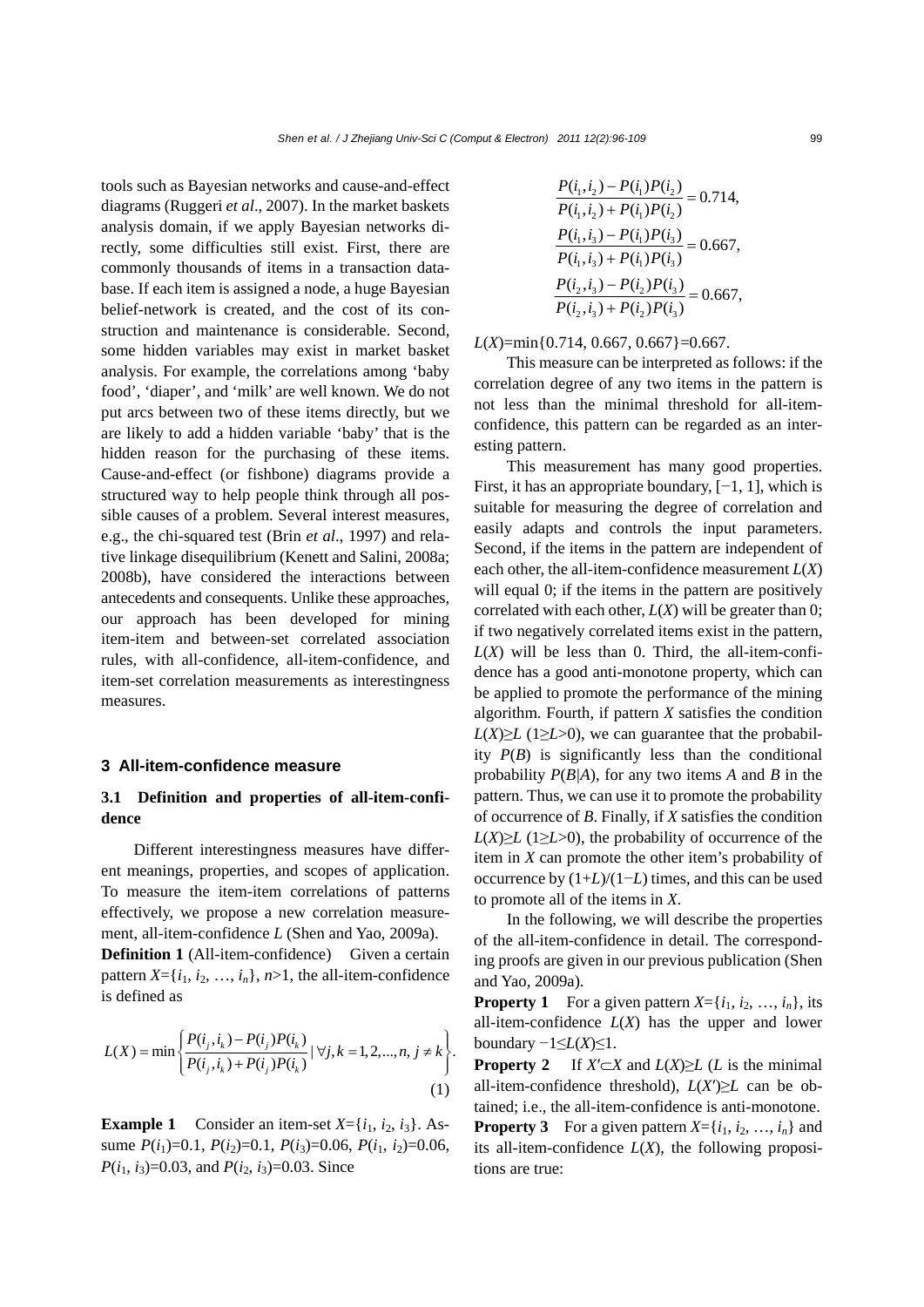tools such as Bayesian networks and cause-and-effect diagrams (Ruggeri *et al*., 2007). In the market baskets analysis domain, if we apply Bayesian networks directly, some difficulties still exist. First, there are commonly thousands of items in a transaction database. If each item is assigned a node, a huge Bayesian belief-network is created, and the cost of its construction and maintenance is considerable. Second, some hidden variables may exist in market basket analysis. For example, the correlations among 'baby food', 'diaper', and 'milk' are well known. We do not put arcs between two of these items directly, but we are likely to add a hidden variable 'baby' that is the hidden reason for the purchasing of these items. Cause-and-effect (or fishbone) diagrams provide a structured way to help people think through all possible causes of a problem. Several interest measures, e.g., the chi-squared test (Brin *et al*., 1997) and relative linkage disequilibrium (Kenett and Salini, 2008a; 2008b), have considered the interactions between antecedents and consequents. Unlike these approaches, our approach has been developed for mining item-item and between-set correlated association rules, with all-confidence, all-item-confidence, and item-set correlation measurements as interestingness measures.

#### **3 All-item-confidence measure**

## **3.1 Definition and properties of all-item-confidence**

Different interestingness measures have different meanings, properties, and scopes of application. To measure the item-item correlations of patterns effectively, we propose a new correlation measurement, all-item-confidence *L* (Shen and Yao, 2009a).

**Definition 1** (All-item-confidence)Given a certain pattern  $X = \{i_1, i_2, \ldots, i_n\}$ ,  $n > 1$ , the all-item-confidence is defined as

$$
L(X) = \min \left\{ \frac{P(i_j, i_k) - P(i_j)P(i_k)}{P(i_j, i_k) + P(i_j)P(i_k)} \, | \, \forall j, k = 1, 2, ..., n, j \neq k \right\}.
$$
\n(1)

**Example 1** Consider an item-set  $X = \{i_1, i_2, i_3\}$ . Assume  $P(i_1)=0.1$ ,  $P(i_2)=0.1$ ,  $P(i_3)=0.06$ ,  $P(i_1, i_2)=0.06$ , *P*( $i_1$ ,  $i_3$ )=0.03, and *P*( $i_2$ ,  $i_3$ )=0.03. Since

$$
\frac{P(i_1, i_2) - P(i_1)P(i_2)}{P(i_1, i_2) + P(i_1)P(i_2)} = 0.714,
$$
\n
$$
\frac{P(i_1, i_3) - P(i_1)P(i_3)}{P(i_1, i_3) + P(i_1)P(i_3)} = 0.667,
$$
\n
$$
\frac{P(i_2, i_3) - P(i_2)P(i_3)}{P(i_2, i_3) + P(i_2)P(i_3)} = 0.667,
$$

*L*(*X*)=min{0.714, 0.667, 0.667}=0.667.

This measure can be interpreted as follows: if the correlation degree of any two items in the pattern is not less than the minimal threshold for all-itemconfidence, this pattern can be regarded as an interesting pattern.

This measurement has many good properties. First, it has an appropriate boundary,  $[-1, 1]$ , which is suitable for measuring the degree of correlation and easily adapts and controls the input parameters. Second, if the items in the pattern are independent of each other, the all-item-confidence measurement  $L(X)$ will equal 0; if the items in the pattern are positively correlated with each other, *L*(*X*) will be greater than 0; if two negatively correlated items exist in the pattern,  $L(X)$  will be less than 0. Third, the all-item-confidence has a good anti-monotone property, which can be applied to promote the performance of the mining algorithm. Fourth, if pattern *X* satisfies the condition  $L(X) \ge L(1 \ge L>0)$ , we can guarantee that the probability  $P(B)$  is significantly less than the conditional probability *P*(*B|A*), for any two items *A* and *B* in the pattern. Thus, we can use it to promote the probability of occurrence of *B*. Finally, if *X* satisfies the condition  $L(X) \ge L(1 \ge L>0)$ , the probability of occurrence of the item in *X* can promote the other item's probability of occurrence by (1+*L*)/(1−*L*) times, and this can be used to promote all of the items in *X*.

In the following, we will describe the properties of the all-item-confidence in detail. The corresponding proofs are given in our previous publication (Shen and Yao, 2009a).

**Property 1** For a given pattern  $X = \{i_1, i_2, ..., i_n\}$ , its all-item-confidence  $L(X)$  has the upper and lower boundary −1≤*L*(*X*)≤1.

**Property 2** If  $X' \subset X$  and  $L(X) \ge L(L)$  is the minimal all-item-confidence threshold),  $L(X') \geq L$  can be obtained; i.e., the all-item-confidence is anti-monotone.

**Property 3** For a given pattern  $X = \{i_1, i_2, ..., i_n\}$  and its all-item-confidence *L*(*X*), the following propositions are true: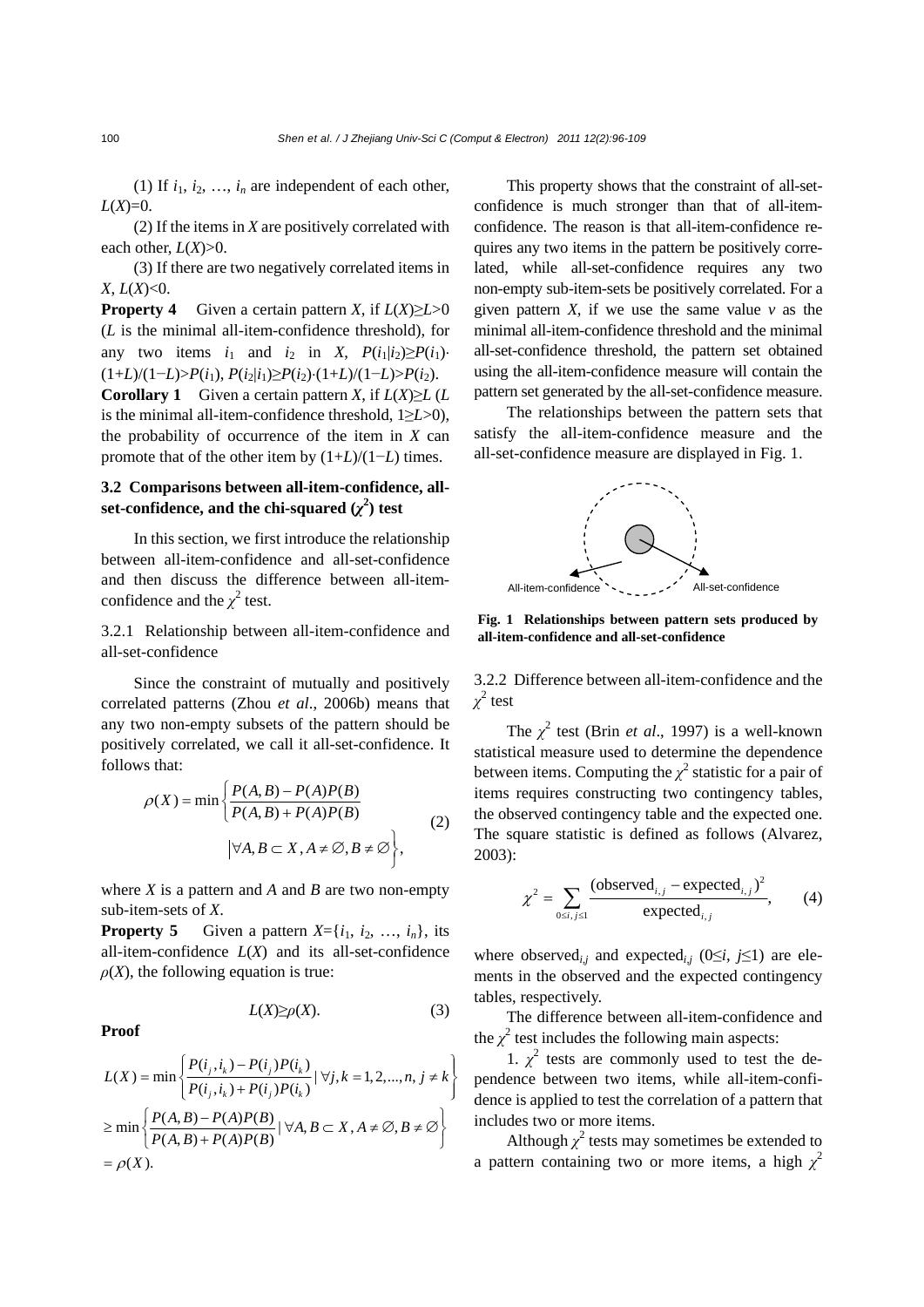(1) If  $i_1, i_2, \ldots, i_n$  are independent of each other,  $L(X)=0.$ 

(2) If the items in *X* are positively correlated with each other, *L*(*X*)>0.

(3) If there are two negatively correlated items in *X*, *L*(*X*)<0.

**Property 4** Given a certain pattern *X*, if  $L(X) \ge L > 0$ (*L* is the minimal all-item-confidence threshold), for any two items  $i_1$  and  $i_2$  in *X*,  $P(i_1|i_2) \ge P(i_1)$  $(1+L)/(1-L) > P(i_1), P(i_2|i_1) ≥ P(i_2)·(1+L)/(1-L) > P(i_2).$ **Corollary 1** Given a certain pattern *X*, if  $L(X) \ge L(L)$ is the minimal all-item-confidence threshold, 1≥*L*>0), the probability of occurrence of the item in *X* can promote that of the other item by (1+*L*)/(1−*L*) times.

## **3.2 Comparisons between all-item-confidence, all**set-confidence, and the chi-squared  $(\chi^2)$  test

In this section, we first introduce the relationship between all-item-confidence and all-set-confidence and then discuss the difference between all-itemconfidence and the  $\chi^2$  test.

3.2.1 Relationship between all-item-confidence and all-set-confidence

Since the constraint of mutually and positively correlated patterns (Zhou *et al*., 2006b) means that any two non-empty subsets of the pattern should be positively correlated, we call it all-set-confidence. It follows that:

$$
\rho(X) = \min \left\{ \frac{P(A, B) - P(A)P(B)}{P(A, B) + P(A)P(B)} \right\}
$$
\n
$$
\left| \forall A, B \subset X, A \neq \emptyset, B \neq \emptyset \right\},\tag{2}
$$

where *X* is a pattern and *A* and *B* are two non-empty sub-item-sets of *X*.

**Property 5** Given a pattern  $X = \{i_1, i_2, \ldots, i_n\}$ , its all-item-confidence  $L(X)$  and its all-set-confidence  $\rho(X)$ , the following equation is true:

 $L(X) \ge \rho(X)$ . (3)

**Proof** 

$$
L(X) = \min \left\{ \frac{P(i_j, i_k) - P(i_j)P(i_k)}{P(i_j, i_k) + P(i_j)P(i_k)} \mid \forall j, k = 1, 2, ..., n, j \neq k \right\}
$$

$$
\geq \min \left\{ \frac{P(A, B) - P(A)P(B)}{P(A, B) + P(A)P(B)} \mid \forall A, B \subset X, A \neq \emptyset, B \neq \emptyset \right\}
$$

$$
= \rho(X).
$$

This property shows that the constraint of all-setconfidence is much stronger than that of all-itemconfidence. The reason is that all-item-confidence requires any two items in the pattern be positively correlated, while all-set-confidence requires any two non-empty sub-item-sets be positively correlated. For a given pattern  $X$ , if we use the same value  $\nu$  as the minimal all-item-confidence threshold and the minimal all-set-confidence threshold, the pattern set obtained using the all-item-confidence measure will contain the pattern set generated by the all-set-confidence measure.

The relationships between the pattern sets that satisfy the all-item-confidence measure and the all-set-confidence measure are displayed in Fig. 1.



**Fig. 1 Relationships between pattern sets produced by all-item-confidence and all-set-confidence**

3.2.2 Difference between all-item-confidence and the  $\chi^2$  test

The  $\chi^2$  test (Brin *et al.*, 1997) is a well-known statistical measure used to determine the dependence between items. Computing the  $\chi^2$  statistic for a pair of items requires constructing two contingency tables, the observed contingency table and the expected one. The square statistic is defined as follows (Alvarez, 2003):

$$
\chi^2 = \sum_{0 \le i, j \le 1} \frac{\text{(observed}_{i,j} - \text{expected}_{i,j})^2}{\text{expected}_{i,j}},\qquad(4)
$$

where observed<sub>*i,j*</sub> and expected<sub>*i,j*</sub> (0≤*i*, *j*≤1) are elements in the observed and the expected contingency tables, respectively.

The difference between all-item-confidence and the  $\chi^2$  test includes the following main aspects:

1.  $\chi^2$  tests are commonly used to test the dependence between two items, while all-item-confidence is applied to test the correlation of a pattern that includes two or more items.

Although  $\chi^2$  tests may sometimes be extended to a pattern containing two or more items, a high  $\chi^2$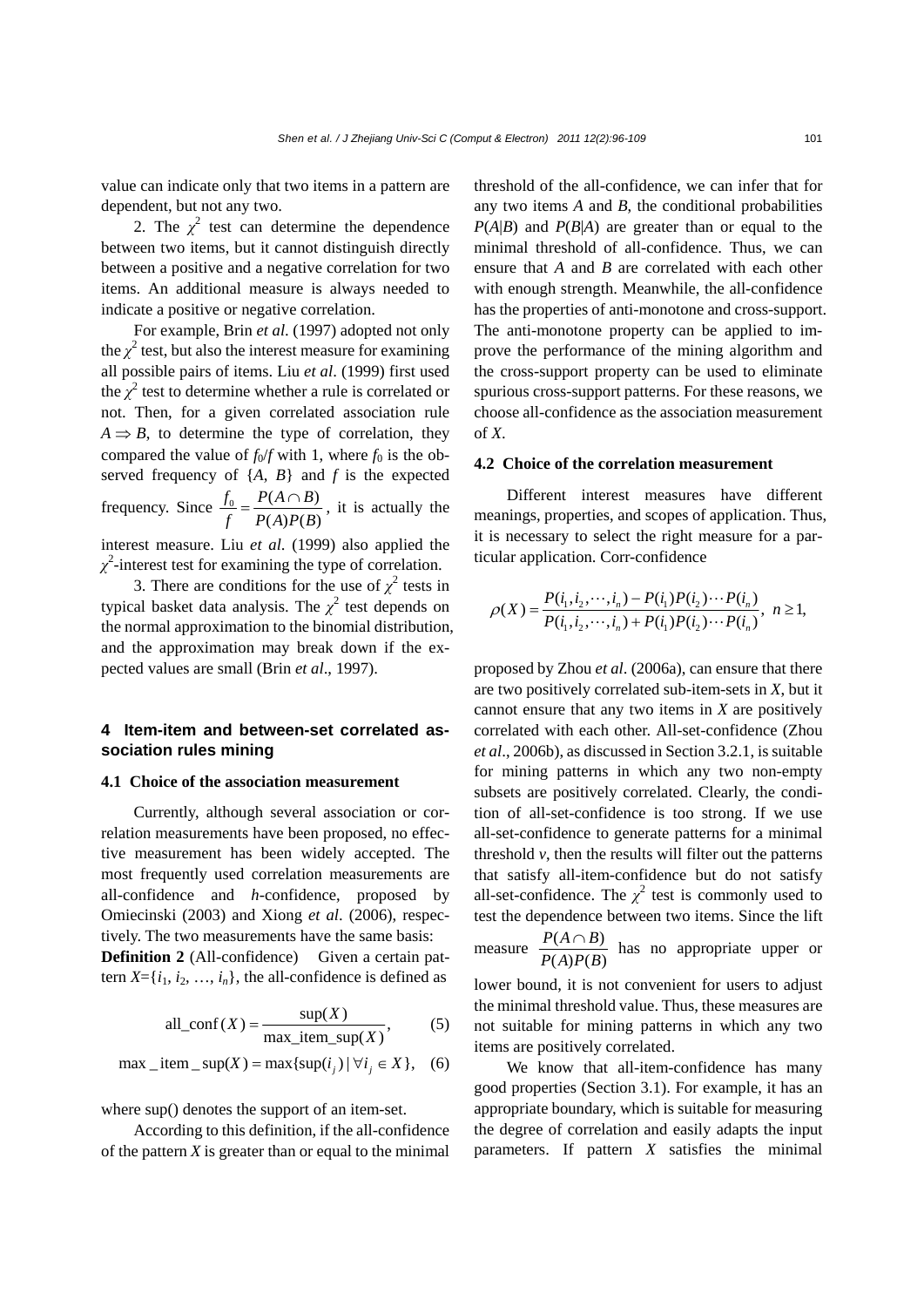value can indicate only that two items in a pattern are dependent, but not any two.

2. The  $\chi^2$  test can determine the dependence between two items, but it cannot distinguish directly between a positive and a negative correlation for two items. An additional measure is always needed to indicate a positive or negative correlation.

For example, Brin *et al*. (1997) adopted not only the  $\chi^2$  test, but also the interest measure for examining all possible pairs of items. Liu *et al*. (1999) first used the  $\chi^2$  test to determine whether a rule is correlated or not. Then, for a given correlated association rule  $A \Rightarrow B$ , to determine the type of correlation, they compared the value of  $f_0/f$  with 1, where  $f_0$  is the observed frequency of {*A*, *B*} and *f* is the expected frequency. Since  $\frac{f_0}{f_0} = \frac{P(A \cap B)}{P(A \cap B)}$  $(A)P(B)$  $f_0$   $P(A \cap B)$  $f$   $P(A)P(B)$  $=\frac{P(A \cap B)}{P(A \cap B)}$ , it is actually the interest measure. Liu *et al*. (1999) also applied the  $\chi^2$ -interest test for examining the type of correlation.

3. There are conditions for the use of  $\chi^2$  tests in typical basket data analysis. The  $\chi^2$  test depends on the normal approximation to the binomial distribution, and the approximation may break down if the expected values are small (Brin *et al*., 1997).

## **4 Item-item and between-set correlated association rules mining**

### **4.1 Choice of the association measurement**

Currently, although several association or correlation measurements have been proposed, no effective measurement has been widely accepted. The most frequently used correlation measurements are all-confidence and *h*-confidence, proposed by Omiecinski (2003) and Xiong *et al*. (2006), respectively. The two measurements have the same basis:

**Definition 2** (All-confidence) Given a certain pattern  $X = \{i_1, i_2, \ldots, i_n\}$ , the all-confidence is defined as

all<sub>conf</sub>(X) = 
$$
\frac{\sup(X)}{\max\_\text{item} \sup(X)}
$$
, (5)

$$
\max \_item\_sup(X) = \max\{\sup(i_j) \mid \forall i_j \in X\}, \quad (6)
$$

where sup() denotes the support of an item-set.

According to this definition, if the all-confidence of the pattern *X* is greater than or equal to the minimal threshold of the all-confidence, we can infer that for any two items *A* and *B*, the conditional probabilities  $P(A|B)$  and  $P(B|A)$  are greater than or equal to the minimal threshold of all-confidence. Thus, we can ensure that *A* and *B* are correlated with each other with enough strength. Meanwhile, the all-confidence has the properties of anti-monotone and cross-support. The anti-monotone property can be applied to improve the performance of the mining algorithm and the cross-support property can be used to eliminate spurious cross-support patterns. For these reasons, we choose all-confidence as the association measurement of *X*.

#### **4.2 Choice of the correlation measurement**

Different interest measures have different meanings, properties, and scopes of application. Thus, it is necessary to select the right measure for a particular application. Corr-confidence

$$
\rho(X) = \frac{P(i_1, i_2, \cdots, i_n) - P(i_1)P(i_2)\cdots P(i_n)}{P(i_1, i_2, \cdots, i_n) + P(i_1)P(i_2)\cdots P(i_n)}, \ \ n \ge 1,
$$

proposed by Zhou *et al*. (2006a), can ensure that there are two positively correlated sub-item-sets in *X*, but it cannot ensure that any two items in *X* are positively correlated with each other. All-set-confidence (Zhou *et al*., 2006b), as discussed in Section 3.2.1, is suitable for mining patterns in which any two non-empty subsets are positively correlated. Clearly, the condition of all-set-confidence is too strong. If we use all-set-confidence to generate patterns for a minimal threshold  $v$ , then the results will filter out the patterns that satisfy all-item-confidence but do not satisfy all-set-confidence. The  $\chi^2$  test is commonly used to test the dependence between two items. Since the lift measure  $\frac{P(A \cap B)}{P(A \cap B)}$  $(A)P(B)$  $P(A \cap B)$  $P(A)P(B)$  $\frac{\cap B}{\cap}$  has no appropriate upper or lower bound, it is not convenient for users to adjust

the minimal threshold value. Thus, these measures are not suitable for mining patterns in which any two items are positively correlated.

We know that all-item-confidence has many good properties (Section 3.1). For example, it has an appropriate boundary, which is suitable for measuring the degree of correlation and easily adapts the input parameters. If pattern *X* satisfies the minimal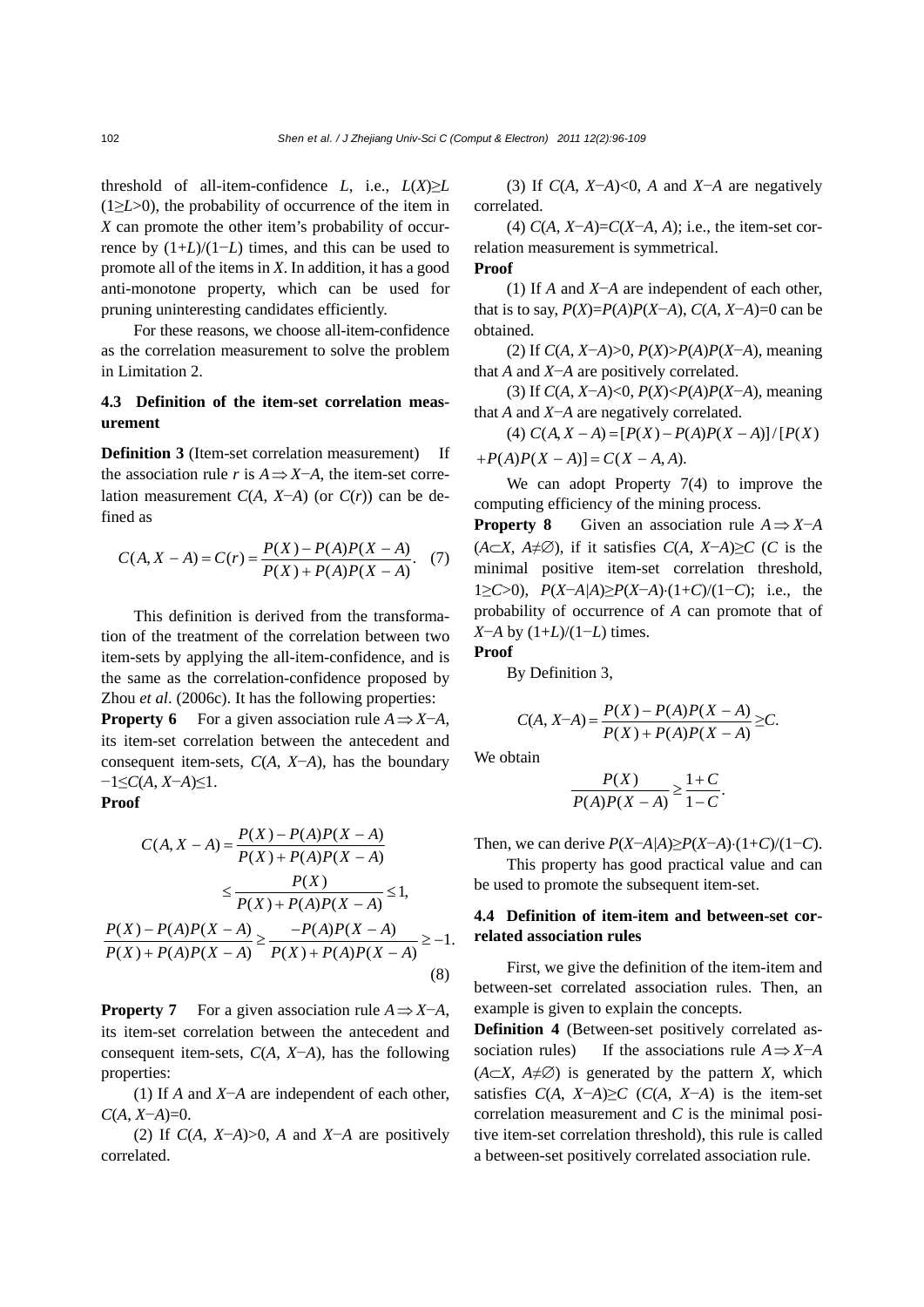threshold of all-item-confidence  $L$ , i.e.,  $L(X) \ge L$ (1≥*L*>0), the probability of occurrence of the item in *X* can promote the other item's probability of occurrence by (1+*L*)/(1−*L*) times, and this can be used to promote all of the items in *X*. In addition, it has a good anti-monotone property, which can be used for pruning uninteresting candidates efficiently.

For these reasons, we choose all-item-confidence as the correlation measurement to solve the problem in Limitation 2.

## **4.3 Definition of the item-set correlation measurement**

**Definition 3** (Item-set correlation measurement) If the association rule *r* is  $A \Rightarrow X \neg A$ , the item-set correlation measurement *C*(*A*, *X*−*A*) (or *C*(*r*)) can be defined as

$$
C(A, X - A) = C(r) = \frac{P(X) - P(A)P(X - A)}{P(X) + P(A)P(X - A)}.
$$
 (7)

This definition is derived from the transformation of the treatment of the correlation between two item-sets by applying the all-item-confidence, and is the same as the correlation-confidence proposed by Zhou *et al*. (2006c). It has the following properties:

**Property 6** For a given association rule  $A \Rightarrow X \neg A$ , its item-set correlation between the antecedent and consequent item-sets, *C*(*A*, *X*−*A*), has the boundary −1≤*C*(*A*, *X*−*A*)≤1.

**Proof** 

$$
C(A, X - A) = \frac{P(X) - P(A)P(X - A)}{P(X) + P(A)P(X - A)}
$$
  
\n
$$
\leq \frac{P(X)}{P(X) + P(A)P(X - A)} \leq 1,
$$
  
\n
$$
\frac{P(X) - P(A)P(X - A)}{P(X) + P(A)P(X - A)} \geq \frac{-P(A)P(X - A)}{P(X) + P(A)P(X - A)} \geq -1.
$$
  
\n(8)

**Property 7** For a given association rule  $A \Rightarrow X \neg A$ , its item-set correlation between the antecedent and consequent item-sets, *C*(*A*, *X*−*A*), has the following properties:

(1) If *A* and *X*−*A* are independent of each other, *C*(*A*, *X*−*A*)=0.

(2) If *C*(*A*, *X*−*A*)>0, *A* and *X*−*A* are positively correlated.

(3) If *C*(*A*, *X*−*A*)<0, *A* and *X*−*A* are negatively correlated.

(4) *C*(*A*, *X*−*A*)=*C*(*X*−*A*, *A*); i.e., the item-set correlation measurement is symmetrical.

### **Proof**

(1) If *A* and *X*−*A* are independent of each other, that is to say,  $P(X)=P(A)P(X-A)$ ,  $C(A, X-A)=0$  can be obtained.

(2) If *C*(*A*, *X*−*A*)>0, *P*(*X*)>*P*(*A*)*P*(*X*−*A*), meaning that *A* and *X*−*A* are positively correlated.

(3) If *C*(*A*, *X*−*A*)<0, *P*(*X*)<*P*(*A*)*P*(*X*−*A*), meaning that *A* and *X*−*A* are negatively correlated.

(4)  $C(A, X - A) = [P(X) - P(A)P(X - A)]/[P(X)$  $+P(A)P(X - A) = C(X - A, A).$ 

We can adopt Property 7(4) to improve the computing efficiency of the mining process.

**Property 8** Given an association rule  $A \Rightarrow X \neg A$ ( $A \subset X$ ,  $A \neq \emptyset$ ), if it satisfies  $C(A, X \neg A) \geq C$  (*C* is the minimal positive item-set correlation threshold, 1≥*C*>0), *P*(*X*−*A|A*)≥*P*(*X*−*A*)⋅(1+*C*)/(1−*C*); i.e., the probability of occurrence of *A* can promote that of *X*−*A* by  $(1+L)/(1-L)$  times. **Proof** 

By Definition 3,

$$
C(A, X-A) = \frac{P(X) - P(A)P(X - A)}{P(X) + P(A)P(X - A)} \geq C.
$$

We obtain

$$
\frac{P(X)}{P(A)P(X-A)} \ge \frac{1+C}{1-C}.
$$

Then, we can derive *P*(*X*−*A|A*)≥*P*(*X*−*A*)⋅(1+*C*)/(1−*C*).

This property has good practical value and can be used to promote the subsequent item-set.

## **4.4 Definition of item-item and between-set correlated association rules**

First, we give the definition of the item-item and between-set correlated association rules. Then, an example is given to explain the concepts.

**Definition 4** (Between-set positively correlated association rules) If the associations rule  $A \Rightarrow X \neg A$  $(A \subset X, A \neq \emptyset)$  is generated by the pattern *X*, which satisfies  $C(A, X-A) \geq C$  ( $C(A, X-A)$ ) is the item-set correlation measurement and *C* is the minimal positive item-set correlation threshold), this rule is called a between-set positively correlated association rule.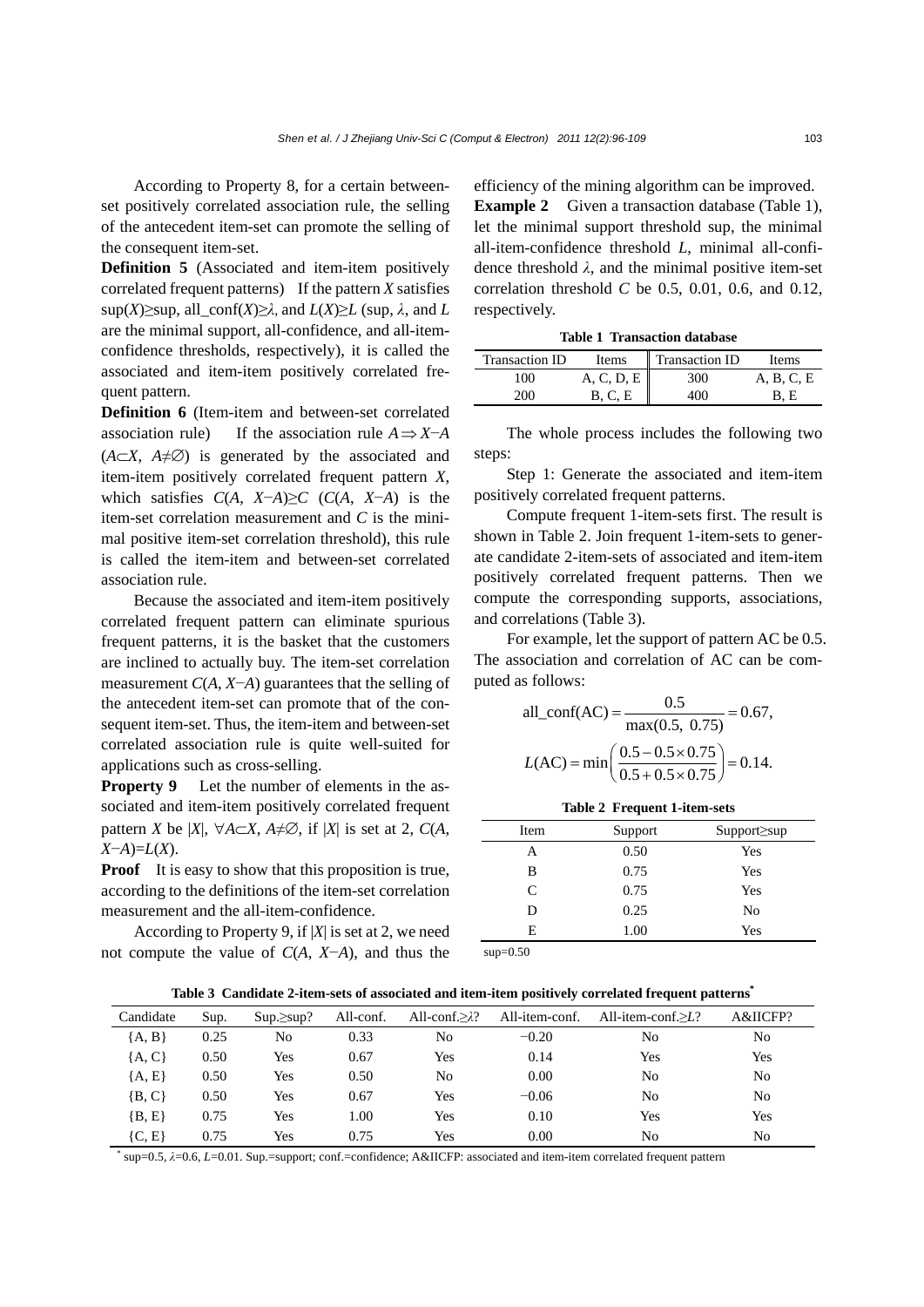According to Property 8, for a certain betweenset positively correlated association rule, the selling of the antecedent item-set can promote the selling of the consequent item-set.

**Definition 5** (Associated and item-item positively correlated frequent patterns) If the pattern *X* satisfies sup(*X*)≥sup, all conf(*X*)≥ $\lambda$ , and *L*(*X*)≥*L* (sup,  $\lambda$ , and *L* are the minimal support, all-confidence, and all-itemconfidence thresholds, respectively), it is called the associated and item-item positively correlated frequent pattern.

**Definition 6** (Item-item and between-set correlated association rule) If the association rule  $A \Rightarrow X \neg A$ (*A*⊂*X*, *A*≠∅) is generated by the associated and item-item positively correlated frequent pattern *X*, which satisfies  $C(A, X-A) \geq C$  ( $C(A, X-A)$ ) is the item-set correlation measurement and *C* is the minimal positive item-set correlation threshold), this rule is called the item-item and between-set correlated association rule.

Because the associated and item-item positively correlated frequent pattern can eliminate spurious frequent patterns, it is the basket that the customers are inclined to actually buy. The item-set correlation measurement *C*(*A*, *X*−*A*) guarantees that the selling of the antecedent item-set can promote that of the consequent item-set. Thus, the item-item and between-set correlated association rule is quite well-suited for applications such as cross-selling.

**Property 9** Let the number of elements in the associated and item-item positively correlated frequent pattern *X* be |*X*|,  $\forall A \subset X$ ,  $A \neq \emptyset$ , if |*X*| is set at 2,  $C(A)$ , *X*−*A*)=*L*(*X*).

**Proof** It is easy to show that this proposition is true, according to the definitions of the item-set correlation measurement and the all-item-confidence.

According to Property 9, if |*X*| is set at 2, we need not compute the value of *C*(*A*, *X*−*A*), and thus the efficiency of the mining algorithm can be improved. **Example 2** Given a transaction database (Table 1), let the minimal support threshold sup, the minimal all-item-confidence threshold *L*, minimal all-confidence threshold  $\lambda$ , and the minimal positive item-set correlation threshold *C* be 0.5, 0.01, 0.6, and 0.12, respectively.

**Table 1 Transaction database**

| Transaction ID | <b>Items</b> | Transaction ID | <b>Items</b> |
|----------------|--------------|----------------|--------------|
| 100            | A, C, D, E   | 300            | A, B, C, E   |
| 200            | B. C. E      | 400            | B. E         |

The whole process includes the following two steps:

Step 1: Generate the associated and item-item positively correlated frequent patterns.

Compute frequent 1-item-sets first. The result is shown in Table 2. Join frequent 1-item-sets to generate candidate 2-item-sets of associated and item-item positively correlated frequent patterns. Then we compute the corresponding supports, associations, and correlations (Table 3).

For example, let the support of pattern AC be 0.5. The association and correlation of AC can be computed as follows:

all\_conf(AC) = 
$$
\frac{0.5}{\text{max}(0.5, 0.75)} = 0.67,
$$
  
\n
$$
L(AC) = \min\left(\frac{0.5 - 0.5 \times 0.75}{0.5 + 0.5 \times 0.75}\right) = 0.14.
$$

**Table 2 Frequent 1-item-sets**

| Item         | Support | $Support \ge sup$ |
|--------------|---------|-------------------|
| Α            | 0.50    | Yes               |
| В            | 0.75    | Yes               |
| $\mathsf{C}$ | 0.75    | Yes               |
| D            | 0.25    | No                |
| E            | 1.00    | Yes               |

 $sun = 0.50$ 

**Table 3 Candidate 2-item-sets of associated and item-item positively correlated frequent patterns\***

| Candidate  | Sup. | $Sup.\ge sup?$ | All-conf. | All-conf. $\geq \lambda$ ? | All-item-conf. | All-item-conf. $\geq L$ ? | A&IICFP?       |
|------------|------|----------------|-----------|----------------------------|----------------|---------------------------|----------------|
| ${A, B}$   | 0.25 | No             | 0.33      | No                         | $-0.20$        | No                        | No             |
| ${A, C}$   | 0.50 | Yes            | 0.67      | Yes                        | 0.14           | Yes                       | Yes            |
| ${A, E}$   | 0.50 | Yes            | 0.50      | No                         | 0.00           | No                        | N <sub>o</sub> |
| $\{B, C\}$ | 0.50 | Yes            | 0.67      | <b>Yes</b>                 | $-0.06$        | No                        | N <sub>o</sub> |
| $\{B, E\}$ | 0.75 | Yes            | 1.00      | Yes                        | 0.10           | Yes                       | Yes            |
| $\{C, E\}$ | 0.75 | Yes            | 0.75      | Yes                        | 0.00           | No                        | No             |

\* sup=0.5, *λ*=0.6, *L*=0.01. Sup.=support; conf.=confidence; A&IICFP: associated and item-item correlated frequent pattern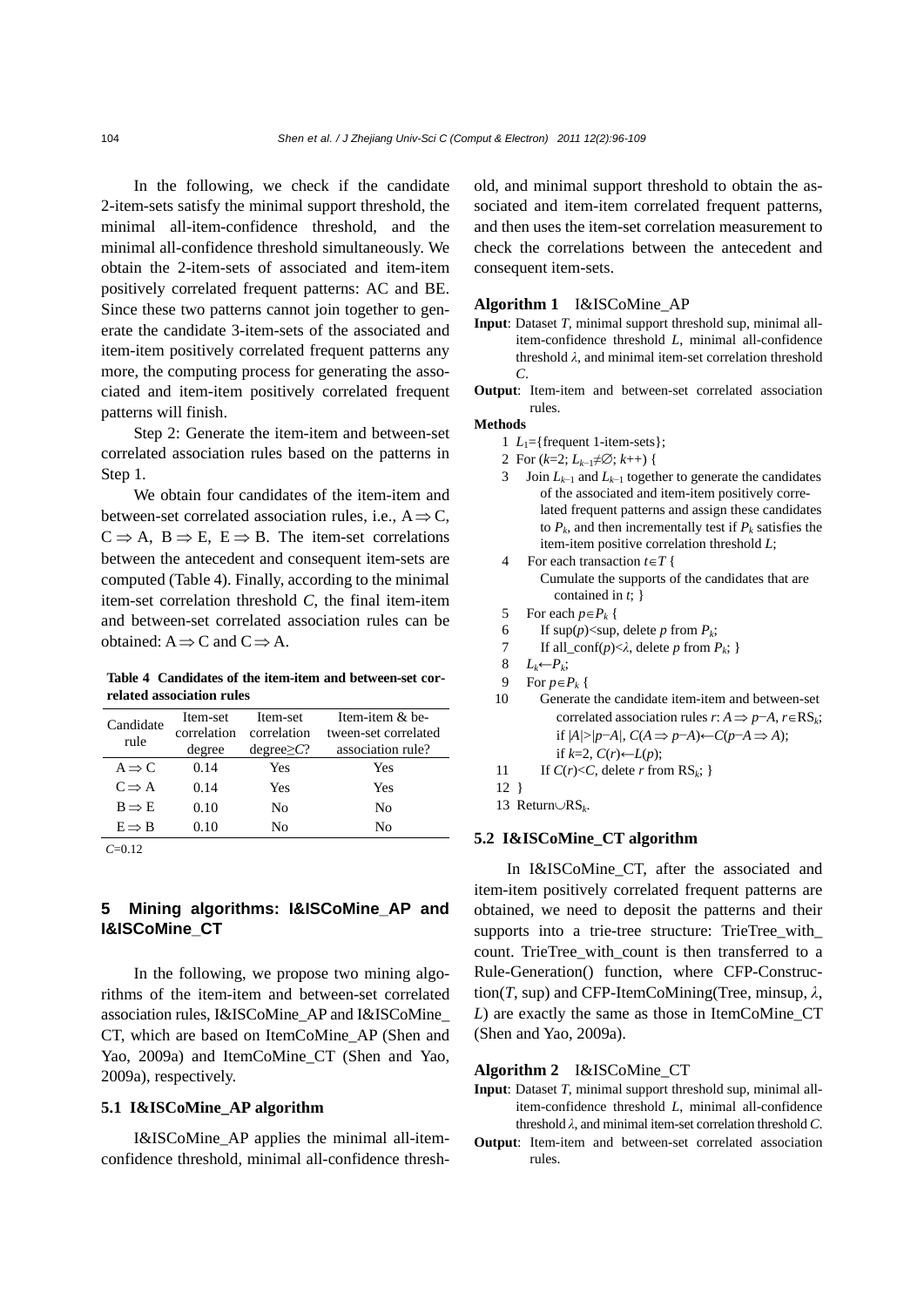In the following, we check if the candidate 2-item-sets satisfy the minimal support threshold, the minimal all-item-confidence threshold, and the minimal all-confidence threshold simultaneously. We obtain the 2-item-sets of associated and item-item positively correlated frequent patterns: AC and BE. Since these two patterns cannot join together to generate the candidate 3-item-sets of the associated and item-item positively correlated frequent patterns any more, the computing process for generating the associated and item-item positively correlated frequent patterns will finish.

Step 2: Generate the item-item and between-set correlated association rules based on the patterns in Step 1.

We obtain four candidates of the item-item and between-set correlated association rules, i.e.,  $A \Rightarrow C$ ,  $C \Rightarrow A, B \Rightarrow E, E \Rightarrow B$ . The item-set correlations between the antecedent and consequent item-sets are computed (Table 4). Finally, according to the minimal item-set correlation threshold *C*, the final item-item and between-set correlated association rules can be obtained:  $A \implies C$  and  $C \implies A$ .

**Table 4 Candidates of the item-item and between-set correlated association rules**

| Candidate<br>rule | Item-set<br>correlation<br>degree | Item-set<br>correlation<br>$degree \geq C?$ | Item-item $&$ be-<br>tween-set correlated<br>association rule? |
|-------------------|-----------------------------------|---------------------------------------------|----------------------------------------------------------------|
| $A \Rightarrow C$ | 0.14                              | Yes                                         | Yes                                                            |
| $C \implies A$    | 0.14                              | Yes                                         | Yes                                                            |
| $B \implies E$    | 0.10                              | No                                          | No                                                             |
| $E \implies B$    | 0.10                              | N٥                                          | Nο                                                             |

*C*=0.12

## **5 Mining algorithms: I&ISCoMine\_AP and I&ISCoMine\_CT**

In the following, we propose two mining algorithms of the item-item and between-set correlated association rules, I&ISCoMine\_AP and I&ISCoMine\_ CT, which are based on ItemCoMine\_AP (Shen and Yao, 2009a) and ItemCoMine\_CT (Shen and Yao, 2009a), respectively.

#### **5.1 I&ISCoMine\_AP algorithm**

I&ISCoMine\_AP applies the minimal all-itemconfidence threshold, minimal all-confidence threshold, and minimal support threshold to obtain the associated and item-item correlated frequent patterns, and then uses the item-set correlation measurement to check the correlations between the antecedent and consequent item-sets.

#### **Algorithm 1** I&ISCoMine\_AP

- **Input**: Dataset *T*, minimal support threshold sup, minimal allitem-confidence threshold *L*, minimal all-confidence threshold *λ*, and minimal item-set correlation threshold *C*.
- **Output**: Item-item and between-set correlated association rules.

## **Methods**

- 1  $L_1$ ={frequent 1-item-sets};
- 2 For (*k*=2; *Lk*−1≠∅; *k*++) {
- 3 Join *Lk*−1 and *Lk*−1 together to generate the candidates of the associated and item-item positively correlated frequent patterns and assign these candidates to  $P_k$ , and then incrementally test if  $P_k$  satisfies the item-item positive correlation threshold *L*;
- For each transaction  $t \in T$  { Cumulate the supports of the candidates that are contained in *t*; }
- 5 For each  $p \in P_k$  {
- 6 If  $\sup(p) < \sup$ , delete *p* from  $P_k$ ;
- 7 If all\_conf(*p*)<*λ*, delete *p* from *Pk*; }
- 8 *Lk*←*Pk*;
- 9 For  $p \in P_k$  {
- 10 Generate the candidate item-item and between-set correlated association rules *r*:  $A \Rightarrow p-A$ ,  $r \in RS_k$ ; if |*A|*>*|p*−*A|*, *C*(*A* ⇒ *p*−*A*)←*C*(*p*−*A* ⇒ *A*); if  $k=2$ ,  $C(r)$ ← $L(p)$ ;
- 11 If  $C(r) < C$ , delete *r* from  $RS_k$ ; }
- 12 }
- 13 Return∪RS*k*.

#### **5.2 I&ISCoMine\_CT algorithm**

In I&ISCoMine CT, after the associated and item-item positively correlated frequent patterns are obtained, we need to deposit the patterns and their supports into a trie-tree structure: TrieTree with count. TrieTree\_with\_count is then transferred to a Rule-Generation() function, where CFP-Construction(*T*, sup) and CFP-ItemCoMining(Tree, minsup, *λ*, *L*) are exactly the same as those in ItemCoMine\_CT (Shen and Yao, 2009a).

#### **Algorithm 2** I&ISCoMine\_CT

- **Input**: Dataset *T*, minimal support threshold sup, minimal allitem-confidence threshold *L*, minimal all-confidence threshold *λ*, and minimal item-set correlation threshold *C*.
- **Output**: Item-item and between-set correlated association rules.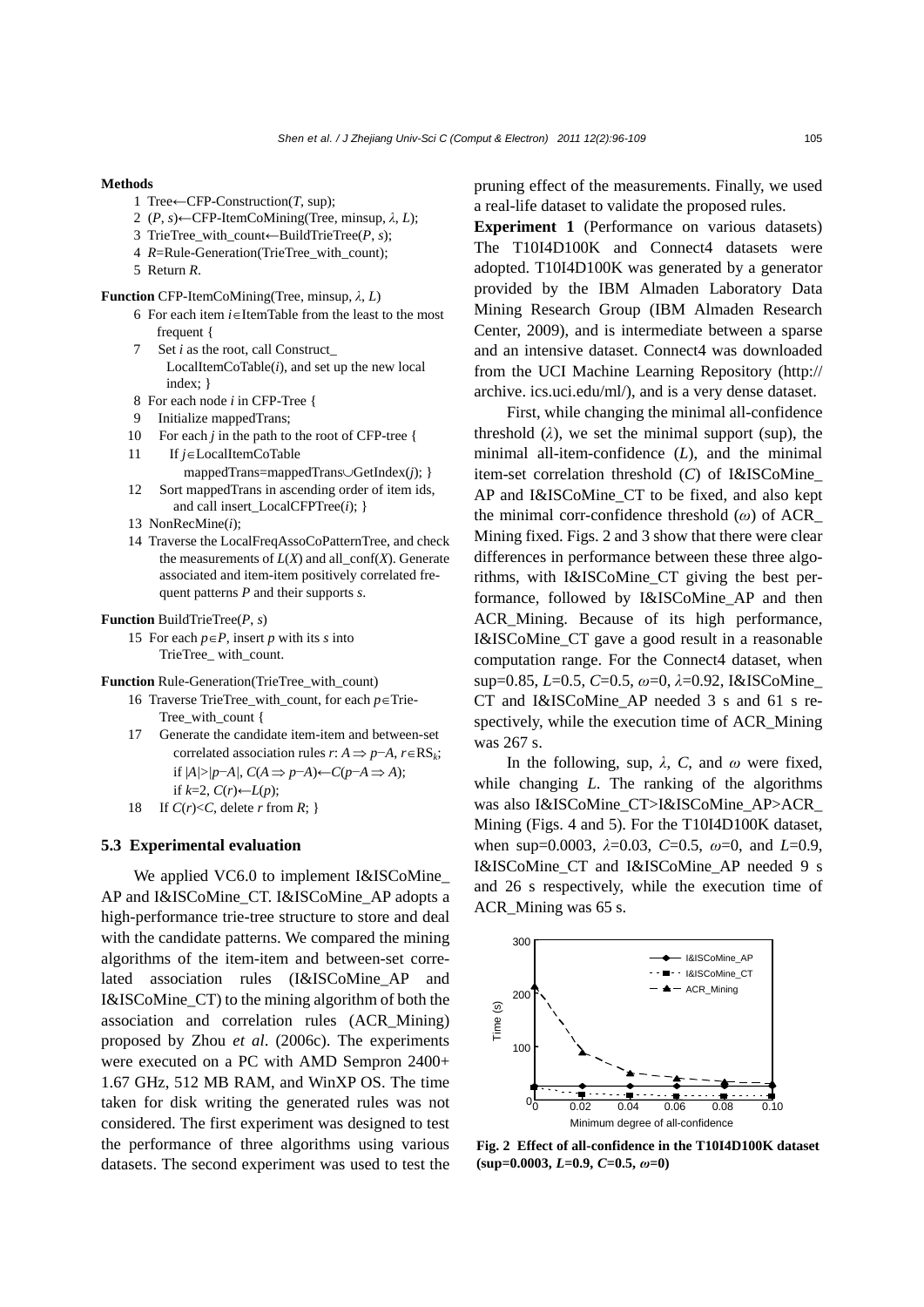#### **Methods**

- 1 Tree←CFP-Construction(*T*, sup);
- 2 (*P*, *s*)←CFP-ItemCoMining(Tree, minsup, *λ*, *L*);
- 3 TrieTree\_with\_count←BuildTrieTree(*P*, *s*);
- 4 *R*=Rule-Generation(TrieTree with count);
- 5 Return *R*.

#### **Function** CFP-ItemCoMining(Tree, minsup, *λ*, *L*)

- 6 For each item *i*∈ItemTable from the least to the most frequent {
- 7 Set *i* as the root, call Construct\_ LocalItemCoTable(*i*), and set up the new local index; }
- 8 For each node *i* in CFP-Tree {
- 9 Initialize mappedTrans;
- 10 For each *j* in the path to the root of CFP-tree {
- 11 If *j*∈LocalItemCoTable mappedTrans=mappedTrans∪GetIndex(*j*); }
- 12 Sort mappedTrans in ascending order of item ids, and call insert\_LocalCFPTree(*i*); }
- 13 NonRecMine(*i*);
- 14 Traverse the LocalFreqAssoCoPatternTree, and check the measurements of  $L(X)$  and all  $\text{conf}(X)$ . Generate associated and item-item positively correlated frequent patterns *P* and their supports *s*.

#### **Function** BuildTrieTree(*P*, *s*)

15 For each *p*∈*P*, insert *p* with its *s* into TrieTree\_ with\_count.

**Function** Rule-Generation(TrieTree\_with\_count)

- 16 Traverse TrieTree\_with\_count, for each *p*∈Trie-Tree\_with\_count {
- 17 Generate the candidate item-item and between-set correlated association rules *r*:  $A \Rightarrow p-A$ ,  $r \in RS_k$ ; if |*A|*>*|p*−*A|*, *C*(*A* ⇒ *p*−*A*)←*C*(*p*−*A* ⇒ *A*); if  $k=2$ ,  $C(r)$ ← $L(p)$ ;
- 18 If  $C(r) < C$ , delete *r* from *R*; }

## **5.3 Experimental evaluation**

We applied VC6.0 to implement I&ISCoMine AP and I&ISCoMine\_CT. I&ISCoMine\_AP adopts a high-performance trie-tree structure to store and deal with the candidate patterns. We compared the mining algorithms of the item-item and between-set correlated association rules (I&ISCoMine\_AP and I&ISCoMine\_CT) to the mining algorithm of both the association and correlation rules (ACR\_Mining) proposed by Zhou *et al*. (2006c). The experiments were executed on a PC with AMD Sempron 2400+ 1.67 GHz, 512 MB RAM, and WinXP OS. The time taken for disk writing the generated rules was not considered. The first experiment was designed to test the performance of three algorithms using various datasets. The second experiment was used to test the pruning effect of the measurements. Finally, we used a real-life dataset to validate the proposed rules.

**Experiment 1** (Performance on various datasets) The T10I4D100K and Connect4 datasets were adopted. T10I4D100K was generated by a generator provided by the IBM Almaden Laboratory Data Mining Research Group (IBM Almaden Research Center, 2009), and is intermediate between a sparse and an intensive dataset. Connect4 was downloaded from the UCI Machine Learning Repository (http:// archive. ics.uci.edu/ml/), and is a very dense dataset.

First, while changing the minimal all-confidence threshold  $(\lambda)$ , we set the minimal support (sup), the minimal all-item-confidence (*L*), and the minimal item-set correlation threshold (*C*) of I&ISCoMine\_ AP and I&ISCoMine\_CT to be fixed, and also kept the minimal corr-confidence threshold (*ω*) of ACR\_ Mining fixed. Figs. 2 and 3 show that there were clear differences in performance between these three algorithms, with I&ISCoMine\_CT giving the best performance, followed by I&ISCoMine\_AP and then ACR\_Mining. Because of its high performance, I&ISCoMine\_CT gave a good result in a reasonable computation range. For the Connect4 dataset, when sup=0.85, *L*=0.5, *C*=0.5, *ω*=0, *λ*=0.92, I&ISCoMine\_ CT and I&ISCoMine\_AP needed 3 s and 61 s respectively, while the execution time of ACR\_Mining was 267 s.

In the following, sup,  $\lambda$ , C, and  $\omega$  were fixed, while changing *L*. The ranking of the algorithms was also I&ISCoMine\_CT>I&ISCoMine\_AP>ACR\_ Mining (Figs. 4 and 5). For the T10I4D100K dataset, when sup=0.0003, *λ*=0.03, *C*=0.5, *ω*=0, and *L*=0.9, I&ISCoMine\_CT and I&ISCoMine\_AP needed 9 s and 26 s respectively, while the execution time of ACR\_Mining was 65 s.



**Fig. 2 Effect of all-confidence in the T10I4D100K dataset (sup=0.0003,** *L***=0.9,** *C***=0.5,** *ω***=0)**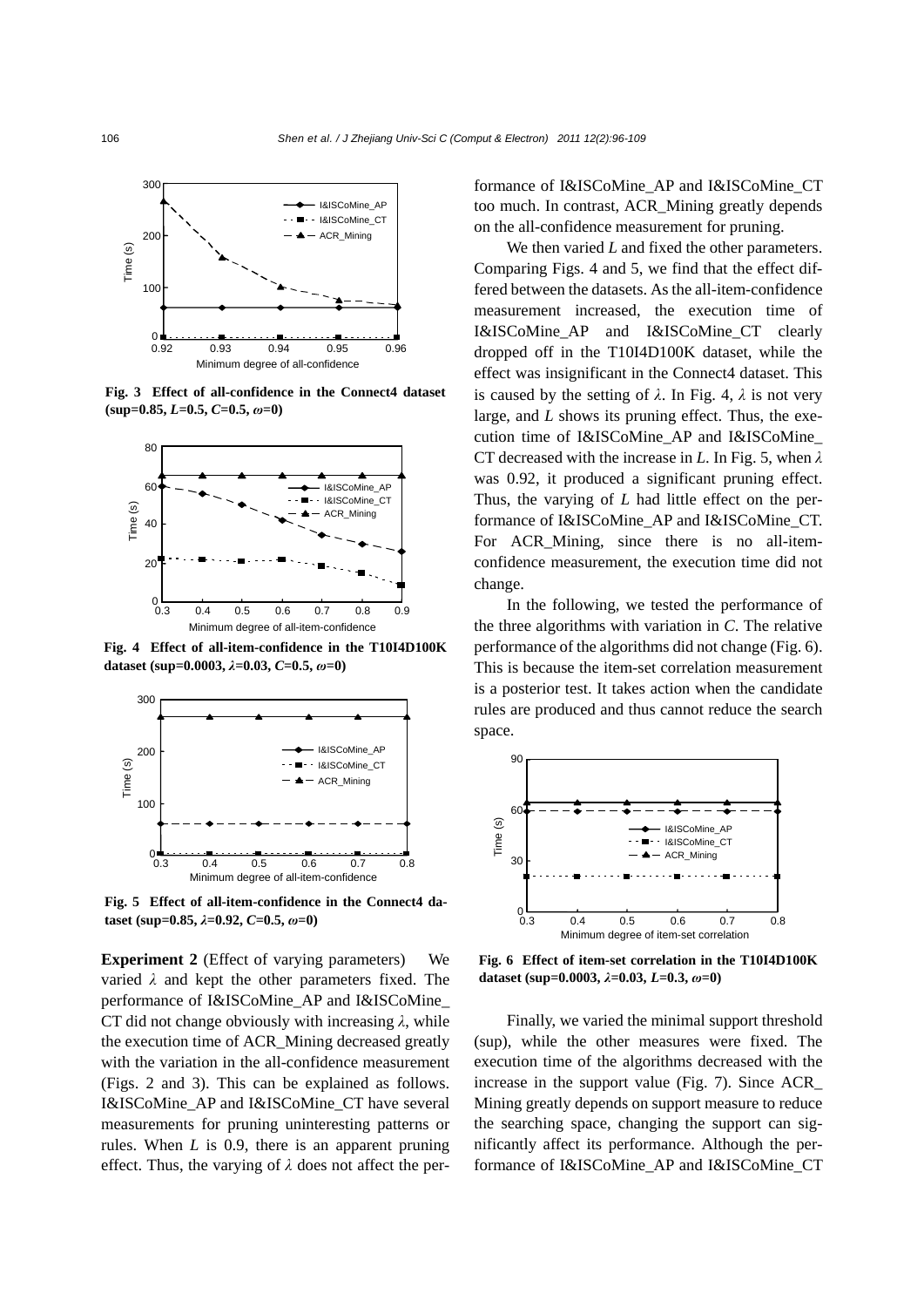

**Fig. 3 Effect of all-confidence in the Connect4 dataset**   $(kup=0.85, L=0.5, C=0.5, \omega=0)$ 



**Fig. 4 Effect of all-item-confidence in the T10I4D100K dataset (sup=0.0003,** *λ***=0.03,** *C***=0.5,** *ω***=0)**



**Fig. 5 Effect of all-item-confidence in the Connect4 dataset (sup=0.85,** *λ***=0.92,** *C***=0.5,** *ω***=0)**

**Experiment 2** (Effect of varying parameters) We varied  $\lambda$  and kept the other parameters fixed. The performance of I&ISCoMine\_AP and I&ISCoMine\_ CT did not change obviously with increasing *λ*, while the execution time of ACR\_Mining decreased greatly with the variation in the all-confidence measurement (Figs. 2 and 3). This can be explained as follows. I&ISCoMine\_AP and I&ISCoMine\_CT have several measurements for pruning uninteresting patterns or rules. When *L* is 0.9, there is an apparent pruning effect. Thus, the varying of *λ* does not affect the performance of I&ISCoMine\_AP and I&ISCoMine\_CT too much. In contrast, ACR\_Mining greatly depends on the all-confidence measurement for pruning.

We then varied *L* and fixed the other parameters. Comparing Figs. 4 and 5, we find that the effect differed between the datasets. As the all-item-confidence measurement increased, the execution time of I&ISCoMine\_AP and I&ISCoMine\_CT clearly dropped off in the T10I4D100K dataset, while the effect was insignificant in the Connect4 dataset. This is caused by the setting of  $\lambda$ . In Fig. 4,  $\lambda$  is not very large, and *L* shows its pruning effect. Thus, the execution time of I&ISCoMine\_AP and I&ISCoMine\_ CT decreased with the increase in *L*. In Fig. 5, when *λ* was 0.92, it produced a significant pruning effect. Thus, the varying of *L* had little effect on the performance of I&ISCoMine\_AP and I&ISCoMine\_CT. For ACR\_Mining, since there is no all-itemconfidence measurement, the execution time did not change.

In the following, we tested the performance of the three algorithms with variation in *C*. The relative performance of the algorithms did not change (Fig. 6). This is because the item-set correlation measurement is a posterior test. It takes action when the candidate rules are produced and thus cannot reduce the search space.



**Fig. 6 Effect of item-set correlation in the T10I4D100K dataset (sup=0.0003,** *λ***=0.03,** *L***=0.3,** *ω***=0)**

Finally, we varied the minimal support threshold (sup), while the other measures were fixed. The execution time of the algorithms decreased with the increase in the support value (Fig. 7). Since ACR\_ Mining greatly depends on support measure to reduce the searching space, changing the support can significantly affect its performance. Although the performance of I&ISCoMine\_AP and I&ISCoMine\_CT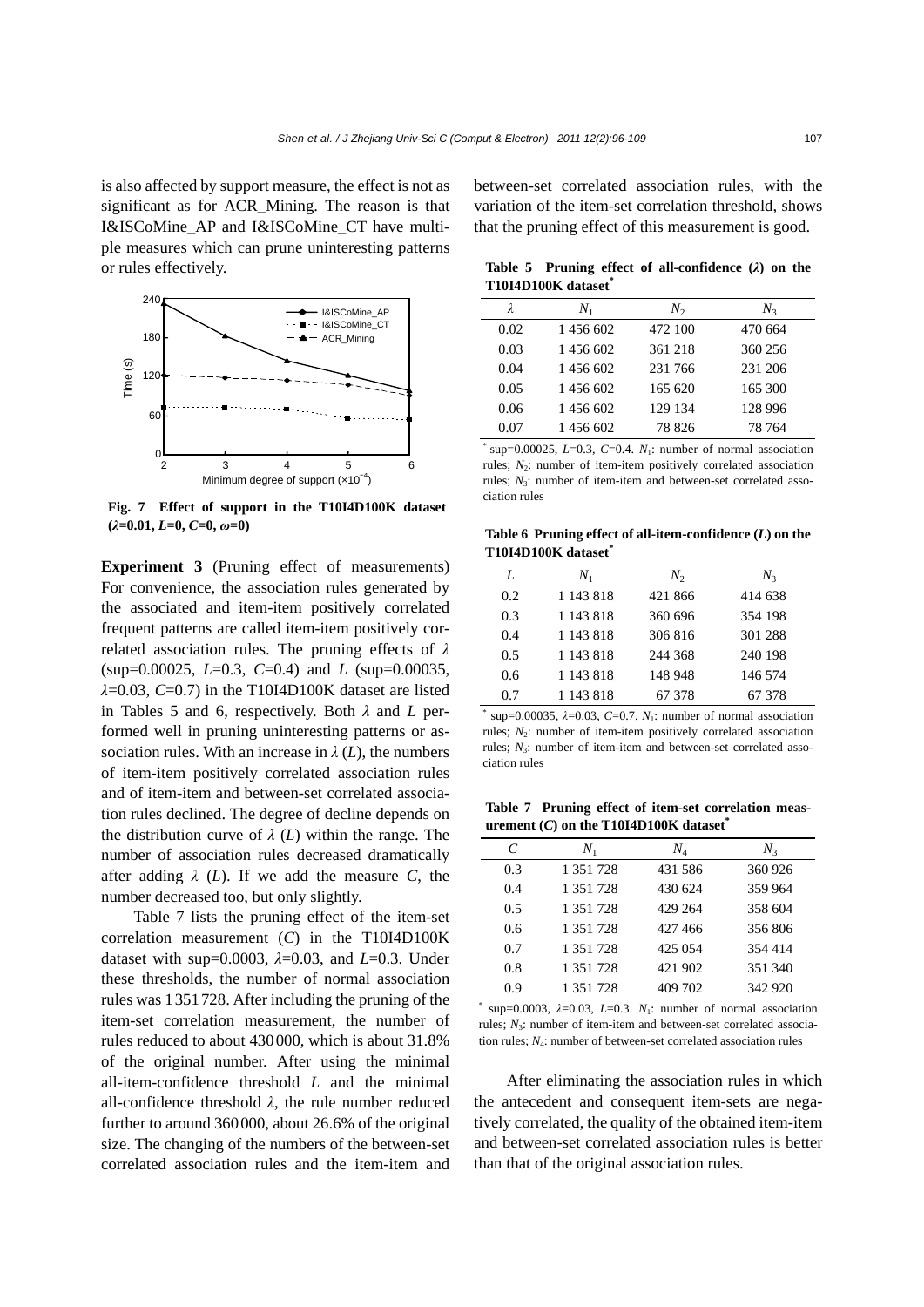is also affected by support measure, the effect is not as significant as for ACR\_Mining. The reason is that I&ISCoMine\_AP and I&ISCoMine\_CT have multiple measures which can prune uninteresting patterns or rules effectively.



**Fig. 7 Effect of support in the T10I4D100K dataset (***λ***=0.01,** *L***=0,** *C***=0,** *ω***=0)**

**Experiment 3** (Pruning effect of measurements) For convenience, the association rules generated by the associated and item-item positively correlated frequent patterns are called item-item positively correlated association rules. The pruning effects of *λ* (sup=0.00025, *L*=0.3, *C*=0.4) and *L* (sup=0.00035, *λ*=0.03, *C*=0.7) in the T10I4D100K dataset are listed in Tables 5 and 6, respectively. Both *λ* and *L* performed well in pruning uninteresting patterns or association rules. With an increase in  $\lambda(L)$ , the numbers of item-item positively correlated association rules and of item-item and between-set correlated association rules declined. The degree of decline depends on the distribution curve of  $\lambda$  (*L*) within the range. The number of association rules decreased dramatically after adding  $\lambda$  (*L*). If we add the measure *C*, the number decreased too, but only slightly.

Table 7 lists the pruning effect of the item-set correlation measurement (*C*) in the T10I4D100K dataset with sup=0.0003, *λ*=0.03, and *L*=0.3. Under these thresholds, the number of normal association rules was 1351728. After including the pruning of the item-set correlation measurement, the number of rules reduced to about 430000, which is about 31.8% of the original number. After using the minimal all-item-confidence threshold *L* and the minimal all-confidence threshold *λ*, the rule number reduced further to around 360000, about 26.6% of the original size. The changing of the numbers of the between-set correlated association rules and the item-item and

between-set correlated association rules, with the variation of the item-set correlation threshold, shows that the pruning effect of this measurement is good.

**Table 5 Pruning effect of all-confidence (***λ***) on the T10I4D100K dataset\***

| λ    | $N_{1}$   | $N_2$   | $N_3$   |
|------|-----------|---------|---------|
| 0.02 | 1 456 602 | 472 100 | 470 664 |
| 0.03 | 1456602   | 361 218 | 360 256 |
| 0.04 | 1456602   | 231 766 | 231 206 |
| 0.05 | 1456602   | 165 620 | 165 300 |
| 0.06 | 1456602   | 129 134 | 128 996 |
| 0.07 | 1 456 602 | 78 826  | 78 764  |

\* sup=0.00025,  $L=0.3$ ,  $C=0.4$ .  $N_1$ : number of normal association rules;  $N_2$ : number of item-item positively correlated association rules;  $N_3$ : number of item-item and between-set correlated association rules□

**Table 6 Pruning effect of all-item-confidence (***L***) on the T10I4D100K dataset\***

| L   | $N_{1}$   | N,      | $N_{3}$ |
|-----|-----------|---------|---------|
| 0.2 | 1 143 818 | 421 866 | 414 638 |
| 0.3 | 1 143 818 | 360 696 | 354 198 |
| 0.4 | 1 143 818 | 306816  | 301 288 |
| 0.5 | 1 143 818 | 244 368 | 240 198 |
| 0.6 | 1 143 818 | 148 948 | 146 574 |
| 0.7 | 1 143 818 | 67 378  | 67378   |
|     |           |         |         |

\* sup=0.00035,  $\lambda$ =0.03, *C*=0.7. *N*<sub>1</sub>: number of normal association rules;  $N_2$ : number of item-item positively correlated association rules; *N*3: number of item-item and between-set correlated association rules

**Table 7 Pruning effect of item-set correlation measurement (***C***) on the T10I4D100K dataset\***

| C   | $N_{1}$   | $N_{\scriptscriptstyle 4}$ | $N_{3}$ |
|-----|-----------|----------------------------|---------|
| 0.3 | 1 351 728 | 431 586                    | 360 926 |
| 0.4 | 1 351 728 | 430 624                    | 359 964 |
| 0.5 | 1 351 728 | 429 264                    | 358 604 |
| 0.6 | 1 351 728 | 427466                     | 356806  |
| 0.7 | 1 351 728 | 425 054                    | 354 414 |
| 0.8 | 1 351 728 | 421 902                    | 351 340 |
| 0.9 | 1 351 728 | 409 702                    | 342 920 |

\* sup=0.0003,  $\lambda$ =0.03, *L*=0.3. *N*<sub>1</sub>: number of normal association rules:  $N_3$ : number of item-item and between-set correlated association rules; *N*4: number of between-set correlated association rules

After eliminating the association rules in which the antecedent and consequent item-sets are negatively correlated, the quality of the obtained item-item and between-set correlated association rules is better than that of the original association rules.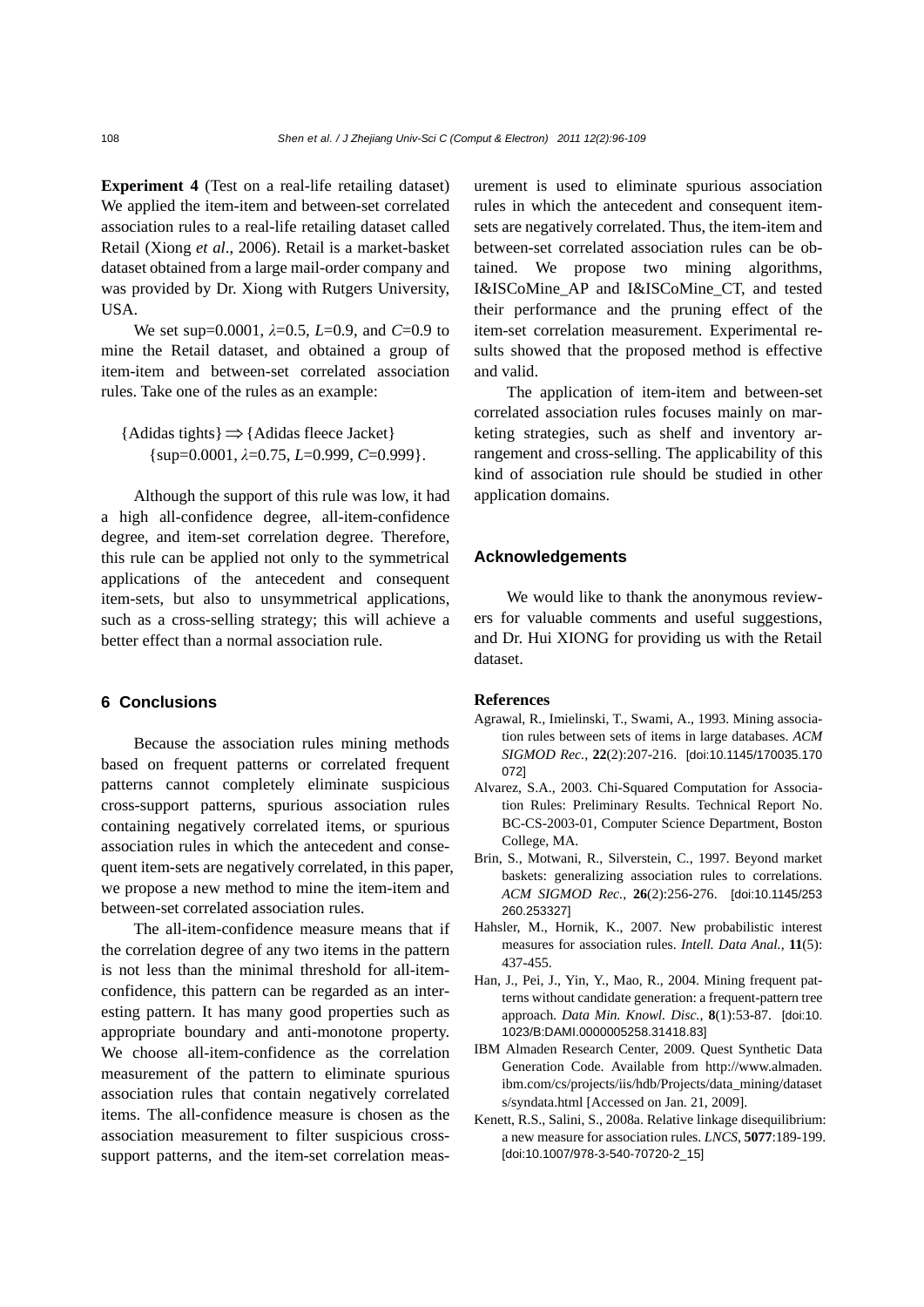**Experiment 4** (Test on a real-life retailing dataset) We applied the item-item and between-set correlated association rules to a real-life retailing dataset called Retail (Xiong *et al*., 2006). Retail is a market-basket dataset obtained from a large mail-order company and was provided by Dr. Xiong with Rutgers University, USA.

We set sup=0.0001, *λ*=0.5, *L*=0.9, and *C*=0.9 to mine the Retail dataset, and obtained a group of item-item and between-set correlated association rules. Take one of the rules as an example:

{Adidas tights}⇒{Adidas fleece Jacket} {sup=0.0001, *λ*=0.75, *L*=0.999, *C*=0.999}.

Although the support of this rule was low, it had a high all-confidence degree, all-item-confidence degree, and item-set correlation degree. Therefore, this rule can be applied not only to the symmetrical applications of the antecedent and consequent item-sets, but also to unsymmetrical applications, such as a cross-selling strategy; this will achieve a better effect than a normal association rule.

### **6 Conclusions**

Because the association rules mining methods based on frequent patterns or correlated frequent patterns cannot completely eliminate suspicious cross-support patterns, spurious association rules containing negatively correlated items, or spurious association rules in which the antecedent and consequent item-sets are negatively correlated, in this paper, we propose a new method to mine the item-item and between-set correlated association rules.

The all-item-confidence measure means that if the correlation degree of any two items in the pattern is not less than the minimal threshold for all-itemconfidence, this pattern can be regarded as an interesting pattern. It has many good properties such as appropriate boundary and anti-monotone property. We choose all-item-confidence as the correlation measurement of the pattern to eliminate spurious association rules that contain negatively correlated items. The all-confidence measure is chosen as the association measurement to filter suspicious crosssupport patterns, and the item-set correlation measurement is used to eliminate spurious association rules in which the antecedent and consequent itemsets are negatively correlated. Thus, the item-item and between-set correlated association rules can be obtained. We propose two mining algorithms, I&ISCoMine\_AP and I&ISCoMine\_CT, and tested their performance and the pruning effect of the item-set correlation measurement. Experimental results showed that the proposed method is effective and valid.

The application of item-item and between-set correlated association rules focuses mainly on marketing strategies, such as shelf and inventory arrangement and cross-selling. The applicability of this kind of association rule should be studied in other application domains.

#### **Acknowledgements**

We would like to thank the anonymous reviewers for valuable comments and useful suggestions, and Dr. Hui XIONG for providing us with the Retail dataset.

#### **References**

- Agrawal, R., Imielinski, T., Swami, A., 1993. Mining association rules between sets of items in large databases. *ACM SIGMOD Rec.*, **22**(2):207-216. [doi:10.1145/170035.170 072]
- Alvarez, S.A., 2003. Chi-Squared Computation for Association Rules: Preliminary Results. Technical Report No. BC-CS-2003-01, Computer Science Department, Boston College, MA.
- Brin, S., Motwani, R., Silverstein, C., 1997. Beyond market baskets: generalizing association rules to correlations. *ACM SIGMOD Rec.*, **26**(2):256-276. [doi:10.1145/253 260.253327]
- Hahsler, M., Hornik, K., 2007. New probabilistic interest measures for association rules. *Intell. Data Anal.*, **11**(5): 437-455.
- Han, J., Pei, J., Yin, Y., Mao, R., 2004. Mining frequent patterns without candidate generation: a frequent-pattern tree approach. *Data Min. Knowl. Disc.*, **8**(1):53-87. [doi:10. 1023/B:DAMI.0000005258.31418.83]
- IBM Almaden Research Center, 2009. Quest Synthetic Data Generation Code. Available from http://www.almaden. ibm.com/cs/projects/iis/hdb/Projects/data\_mining/dataset s/syndata.html [Accessed on Jan. 21, 2009].
- Kenett, R.S., Salini, S., 2008a. Relative linkage disequilibrium: a new measure for association rules. *LNCS*, **5077**:189-199. [doi:10.1007/978-3-540-70720-2\_15]